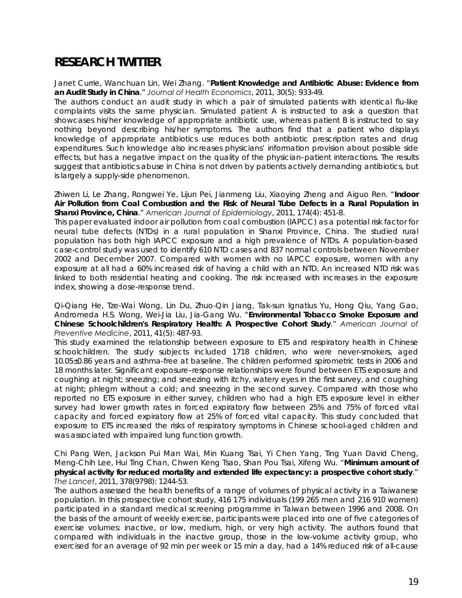# **RESEARCH TWITTER**

Janet Currie, Wanchuan Lin, Wei Zhang. "**Patient Knowledge and Antibiotic Abuse: Evidence from an Audit Study in China**." *Journal of Health Economics*, 2011, 30(5): 933-49.

The authors conduct an audit study in which a pair of simulated patients with identical flu-like complaints visits the same physician. Simulated patient A is instructed to ask a question that showcases his/her knowledge of appropriate antibiotic use, whereas patient B is instructed to say nothing beyond describing his/her symptoms. The authors find that a patient who displays knowledge of appropriate antibiotics use reduces both antibiotic prescription rates and drug expenditures. Such knowledge also increases physicians' information provision about possible side effects, but has a negative impact on the quality of the physician–patient interactions. The results suggest that antibiotics abuse in China is not driven by patients actively demanding antibiotics, but is largely a supply-side phenomenon.

Zhiwen Li, Le Zhang, Rongwei Ye, Lijun Pei, Jianmeng Liu, Xiaoying Zheng and Aiguo Ren. "**Indoor Air Pollution from Coal Combustion and the Risk of Neural Tube Defects in a Rural Population in Shanxi Province, China**." *American Journal of Epidemiology*, 2011, 174(4): 451-8.

This paper evaluated indoor air pollution from coal combustion (IAPCC) as a potential risk factor for neural tube defects (NTDs) in a rural population in Shanxi Province, China. The studied rural population has both high IAPCC exposure and a high prevalence of NTDs. A population-based case-control study was used to identify 610 NTD cases and 837 normal controls between November 2002 and December 2007. Compared with women with no IAPCC exposure, women with any exposure at all had a 60% increased risk of having a child with an NTD. An increased NTD risk was linked to both residential heating and cooking. The risk increased with increases in the exposure index, showing a dose-response trend.

Qi-Qiang He, Tze-Wai Wong, Lin Du, Zhuo-Qin Jiang, Tak-sun Ignatius Yu, Hong Qiu, Yang Gao, Andromeda H.S. Wong, Wei-Jia Liu, Jia-Gang Wu. "**Environmental Tobacco Smoke Exposure and Chinese Schoolchildren's Respiratory Health: A Prospective Cohort Study**." *American Journal of Preventive Medicine*, 2011, 41(5): 487-93.

This study examined the relationship between exposure to ETS and respiratory health in Chinese schoolchildren. The study subjects included 1718 children, who were never-smokers, aged 10.05±0.86 years and asthma-free at baseline. The children performed spirometric tests in 2006 and 18 months later. Significant exposure–response relationships were found between ETS exposure and coughing at night; sneezing; and sneezing with itchy, watery eyes in the first survey, and coughing at night; phlegm without a cold; and sneezing in the second survey. Compared with those who reported no ETS exposure in either survey, children who had a high ETS exposure level in either survey had lower growth rates in forced expiratory flow between 25% and 75% of forced vital capacity and forced expiratory flow at 25% of forced vital capacity. This study concluded that exposure to ETS increased the risks of respiratory symptoms in Chinese school-aged children and was associated with impaired lung function growth.

Chi Pang Wen, Jackson Pui Man Wai, Min Kuang Tsai, Yi Chen Yang, Ting Yuan David Cheng, Meng-Chih Lee, Hui Ting Chan, Chwen Keng Tsao, Shan Pou Tsai, Xifeng Wu. "**Minimum amount of physical activity for reduced mortality and extended life expectancy: a prospective cohort study**." *The Lancet*, 2011, 378(9798): 1244-53.

The authors assessed the health benefits of a range of volumes of physical activity in a Taiwanese population. In this prospective cohort study, 416 175 individuals (199 265 men and 216 910 women) participated in a standard medical screening programme in Taiwan between 1996 and 2008. On the basis of the amount of weekly exercise, participants were placed into one of five categories of exercise volumes: inactive, or low, medium, high, or very high activity. The authors found that compared with individuals in the inactive group, those in the low-volume activity group, who exercised for an average of 92 min per week or 15 min a day, had a 14% reduced risk of all-cause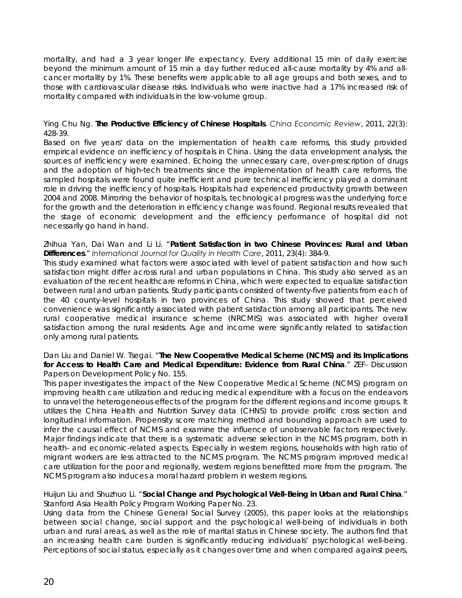mortality, and had a 3 year longer life expectancy. Every additional 15 min of daily exercise beyond the minimum amount of 15 min a day further reduced all-cause mortality by 4% and allcancer mortality by 1%. These benefits were applicable to all age groups and both sexes, and to those with cardiovascular disease risks. Individuals who were inactive had a 17% increased risk of mortality compared with individuals in the low-volume group.

### Ying Chu Ng. **The Productive Efficiency of Chinese Hospitals**. *China Economic Review*, 2011, 22(3): 428-39.

Based on five years' data on the implementation of health care reforms, this study provided empirical evidence on inefficiency of hospitals in China. Using the data envelopment analysis, the sources of inefficiency were examined. Echoing the unnecessary care, over-prescription of drugs and the adoption of high-tech treatments since the implementation of health care reforms, the sampled hospitals were found quite inefficient and pure technical inefficiency played a dominant role in driving the inefficiency of hospitals. Hospitals had experienced productivity growth between 2004 and 2008. Mirroring the behavior of hospitals, technological progress was the underlying force for the growth and the deterioration in efficiency change was found. Regional results revealed that the stage of economic development and the efficiency performance of hospital did not necessarily go hand in hand.

### Zhihua Yan, Dai Wan and Li Li. "**Patient Satisfaction in two Chinese Provinces: Rural and Urban Differences**." *International Journal for Quality in Health Care*, 2011, 23(4): 384-9.

This study examined what factors were associated with level of patient satisfaction and how such satisfaction might differ across rural and urban populations in China. This study also served as an evaluation of the recent healthcare reforms in China, which were expected to equalize satisfaction between rural and urban patients. Study participants consisted of twenty-five patients from each of the 40 county-level hospitals in two provinces of China. This study showed that perceived convenience was significantly associated with patient satisfaction among all participants. The new rural cooperative medical insurance scheme (NRCMIS) was associated with higher overall satisfaction among the rural residents. Age and income were significantly related to satisfaction only among rural patients.

## Dan Liu and Daniel W. Tsegai. "**The New Cooperative Medical Scheme (NCMS) and its Implications for Access to Health Care and Medical Expenditure: Evidence from Rural China**." ZEF- Discussion Papers on Development Policy No. 155.

This paper investigates the impact of the New Cooperative Medical Scheme (NCMS) program on improving health care utilization and reducing medical expenditure with a focus on the endeavors to unravel the heterogeneous effects of the program for the different regions and income groups. It utilizes the China Health and Nutrition Survey data (CHNS) to provide prolific cross section and longitudinal information. Propensity score matching method and bounding approach are used to infer the causal effect of NCMS and examine the influence of unobservable factors respectively. Major findings indicate that there is a systematic adverse selection in the NCMS program, both in health- and economic-related aspects. Especially in western regions, households with high ratio of migrant workers are less attracted to the NCMS program. The NCMS program improved medical care utilization for the poor and regionally, western regions benefitted more from the program. The NCMS program also induces a moral hazard problem in western regions.

#### Huijun Liu and Shuzhuo Li. "**Social Change and Psychological Well-Being in Urban and Rural China**." Stanford Asia Health Policy Program Working Paper No. 23.

Using data from the Chinese General Social Survey (2005), this paper looks at the relationships between social change, social support and the psychological well-being of individuals in both urban and rural areas, as well as the role of marital status in Chinese society. The authors find that an increasing health care burden is significantly reducing individuals' psychological well-being. Perceptions of social status, especially as it changes over time and when compared against peers,